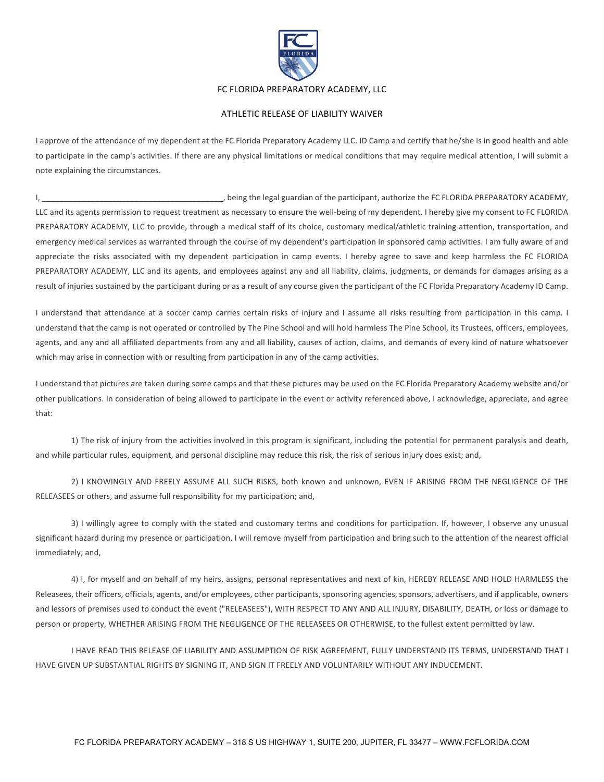

## FC FLORIDA PREPARATORY ACADEMY, LLC

## **ATHLETIC RELEASE OF LIABILITY WAIVER**

I approve of the attendance of my dependent at the FC Florida Preparatory Academy LLC. ID Camp and certify that he/she is in good health and able to participate in the camp's activities. If there are any physical limitations or medical conditions that may require medical attention, I will submit a note explaining the circumstances.

I, theing the legal guardian of the participant, authorize the FC FLORIDA PREPARATORY ACADEMY, LLC and its agents permission to request treatment as necessary to ensure the well-being of my dependent. I hereby give my consent to FC FLORIDA PREPARATORY ACADEMY, LLC to provide, through a medical staff of its choice, customary medical/athletic training attention, transportation, and emergency medical services as warranted through the course of my dependent's participation in sponsored camp activities. I am fully aware of and appreciate the risks associated with my dependent participation in camp events. I hereby agree to save and keep harmless the FC FLORIDA PREPARATORY ACADEMY, LLC and its agents, and employees against any and all liability, claims, judgments, or demands for damages arising as a result of injuries sustained by the participant during or as a result of any course given the participant of the FC Florida Preparatory Academy ID Camp.

I understand that attendance at a soccer camp carries certain risks of injury and I assume all risks resulting from participation in this camp. I understand that the camp is not operated or controlled by The Pine School and will hold harmless The Pine School, its Trustees, officers, employees, agents, and any and all affiliated departments from any and all liability, causes of action, claims, and demands of every kind of nature whatsoever which may arise in connection with or resulting from participation in any of the camp activities.

I understand that pictures are taken during some camps and that these pictures may be used on the FC Florida Preparatory Academy website and/or other publications. In consideration of being allowed to participate in the event or activity referenced above, I acknowledge, appreciate, and agree that:

1) The risk of injury from the activities involved in this program is significant, including the potential for permanent paralysis and death, and while particular rules, equipment, and personal discipline may reduce this risk, the risk of serious injury does exist; and,

2) I KNOWINGLY AND FREELY ASSUME ALL SUCH RISKS, both known and unknown, EVEN IF ARISING FROM THE NEGLIGENCE OF THE RELEASEES or others, and assume full responsibility for my participation; and,

3) I willingly agree to comply with the stated and customary terms and conditions for participation. If, however, I observe any unusual significant hazard during my presence or participation, I will remove myself from participation and bring such to the attention of the nearest official immediately; and,

4) I, for myself and on behalf of my heirs, assigns, personal representatives and next of kin, HEREBY RELEASE AND HOLD HARMLESS the Releasees, their officers, officials, agents, and/or employees, other participants, sponsoring agencies, sponsors, advertisers, and if applicable, owners and lessors of premises used to conduct the event ("RELEASEES"), WITH RESPECT TO ANY AND ALL INJURY, DISABILITY, DEATH, or loss or damage to person or property, WHETHER ARISING FROM THE NEGLIGENCE OF THE RELEASEES OR OTHERWISE, to the fullest extent permitted by law.

I HAVE READ THIS RELEASE OF LIABILITY AND ASSUMPTION OF RISK AGREEMENT, FULLY UNDERSTAND ITS TERMS, UNDERSTAND THAT I HAVE GIVEN UP SUBSTANTIAL RIGHTS BY SIGNING IT, AND SIGN IT FREELY AND VOLUNTARILY WITHOUT ANY INDUCEMENT.